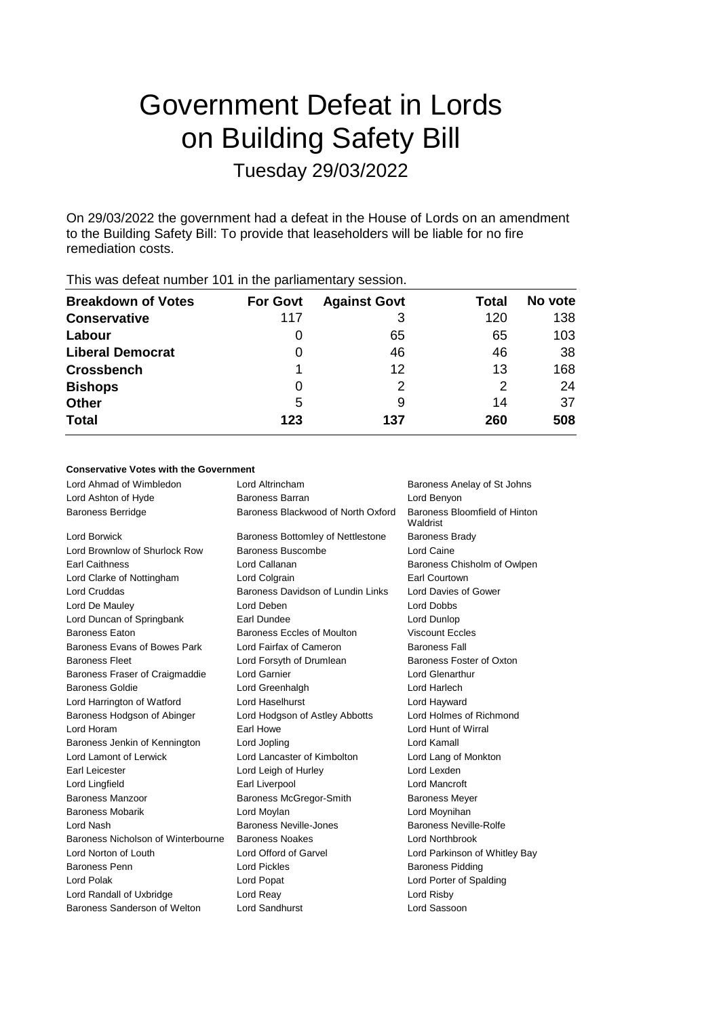# Government Defeat in Lords on Building Safety Bill Tuesday 29/03/2022

On 29/03/2022 the government had a defeat in the House of Lords on an amendment to the Building Safety Bill: To provide that leaseholders will be liable for no fire remediation costs.

| $1110$ $1100$ dotod, trains of the first the participation $\mu$ occurs in |                 |                     |       |         |  |  |  |  |
|----------------------------------------------------------------------------|-----------------|---------------------|-------|---------|--|--|--|--|
| <b>Breakdown of Votes</b>                                                  | <b>For Govt</b> | <b>Against Govt</b> | Total | No vote |  |  |  |  |
| <b>Conservative</b>                                                        | 117             | 3                   | 120   | 138     |  |  |  |  |
| Labour                                                                     | O               | 65                  | 65    | 103     |  |  |  |  |
| <b>Liberal Democrat</b>                                                    | O               | 46                  | 46    | 38      |  |  |  |  |
| <b>Crossbench</b>                                                          |                 | 12                  | 13    | 168     |  |  |  |  |
| <b>Bishops</b>                                                             | 0               | 2                   | 2     | 24      |  |  |  |  |
| <b>Other</b>                                                               | 5               | 9                   | 14    | 37      |  |  |  |  |
| <b>Total</b>                                                               | 123             | 137                 | 260   | 508     |  |  |  |  |
|                                                                            |                 |                     |       |         |  |  |  |  |

# This was defeat number 101 in the parliamentary session.

## **Conservative Votes with the Government**

| Lord Ahmad of Wimbledon            | Lord Altrincham                          | Baroness Anelay of St Johns               |
|------------------------------------|------------------------------------------|-------------------------------------------|
| Lord Ashton of Hyde                | Baroness Barran                          | Lord Benyon                               |
| <b>Baroness Berridge</b>           | Baroness Blackwood of North Oxford       | Baroness Bloomfield of Hinton<br>Waldrist |
| <b>Lord Borwick</b>                | <b>Baroness Bottomley of Nettlestone</b> | <b>Baroness Brady</b>                     |
| Lord Brownlow of Shurlock Row      | Baroness Buscombe                        | Lord Caine                                |
| <b>Earl Caithness</b>              | Lord Callanan                            | Baroness Chisholm of Owlpen               |
| Lord Clarke of Nottingham          | Lord Colgrain                            | Earl Courtown                             |
| <b>Lord Cruddas</b>                | Baroness Davidson of Lundin Links        | Lord Davies of Gower                      |
| Lord De Mauley                     | Lord Deben                               | Lord Dobbs                                |
| Lord Duncan of Springbank          | Earl Dundee                              | Lord Dunlop                               |
| <b>Baroness Eaton</b>              | <b>Baroness Eccles of Moulton</b>        | <b>Viscount Eccles</b>                    |
| Baroness Evans of Bowes Park       | Lord Fairfax of Cameron                  | <b>Baroness Fall</b>                      |
| <b>Baroness Fleet</b>              | Lord Forsyth of Drumlean                 | Baroness Foster of Oxton                  |
| Baroness Fraser of Craigmaddie     | Lord Garnier                             | <b>Lord Glenarthur</b>                    |
| <b>Baroness Goldie</b>             | Lord Greenhalgh                          | Lord Harlech                              |
| Lord Harrington of Watford         | Lord Haselhurst                          | Lord Hayward                              |
| Baroness Hodgson of Abinger        | Lord Hodgson of Astley Abbotts           | Lord Holmes of Richmond                   |
| Lord Horam                         | Earl Howe                                | Lord Hunt of Wirral                       |
| Baroness Jenkin of Kennington      | Lord Jopling                             | Lord Kamall                               |
| Lord Lamont of Lerwick             | Lord Lancaster of Kimbolton              | Lord Lang of Monkton                      |
| Earl Leicester                     | Lord Leigh of Hurley                     | Lord Lexden                               |
| Lord Lingfield                     | Earl Liverpool                           | <b>Lord Mancroft</b>                      |
| <b>Baroness Manzoor</b>            | Baroness McGregor-Smith                  | <b>Baroness Meyer</b>                     |
| <b>Baroness Mobarik</b>            | Lord Moylan                              | Lord Moynihan                             |
| Lord Nash                          | Baroness Neville-Jones                   | Baroness Neville-Rolfe                    |
| Baroness Nicholson of Winterbourne | <b>Baroness Noakes</b>                   | Lord Northbrook                           |
| Lord Norton of Louth               | Lord Offord of Garvel                    | Lord Parkinson of Whitley Bay             |
| Baroness Penn                      | <b>Lord Pickles</b>                      | <b>Baroness Pidding</b>                   |
| <b>Lord Polak</b>                  | Lord Popat                               | Lord Porter of Spalding                   |
| Lord Randall of Uxbridge           | Lord Reay                                | Lord Risby                                |
| Baroness Sanderson of Welton       | <b>Lord Sandhurst</b>                    | Lord Sassoon                              |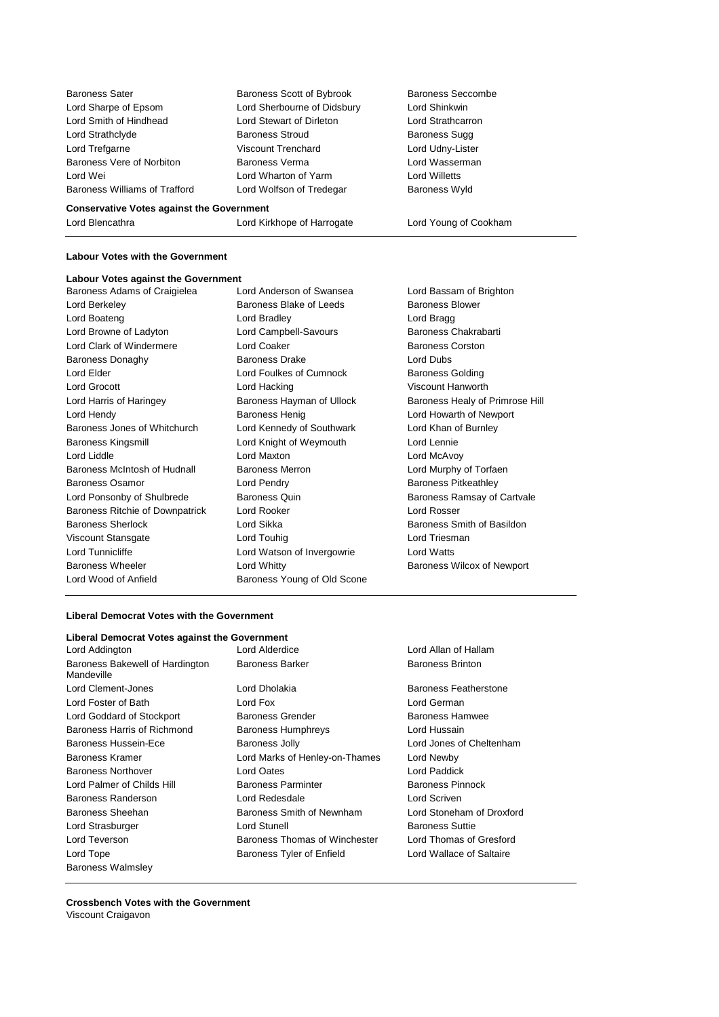Baroness Sater **Baroness Scott of Bybrook** Baroness Seccombe Lord Sharpe of Epsom Lord Sherbourne of Didsbury Lord Shinkwin Lord Smith of Hindhead Lord Stewart of Dirleton Lord Strathcarron Lord Strathclyde Baroness Stroud Baroness Sugg Lord Trefgarne Viscount Trenchard Lord Udny-Lister Baroness Vere of Norbiton Baroness Verma Lord Wasserman Lord Wei **Lord Willetts** Lord Wharton of Yarm **Lord Willetts** Baroness Williams of Trafford Lord Wolfson of Tredegar Baroness Wyld

#### **Conservative Votes against the Government**

Lord Blencathra Lord Kirkhope of Harrogate Lord Young of Cookham

### **Labour Votes with the Government**

#### **Labour Votes against the Government**

Baroness Adams of Craigielea Lord Anderson of Swansea Lord Bassam of Brighton Lord Berkeley **Baroness Blake of Leeds** Baroness Blower Lord Boateng Lord Bradley Lord Bragg Lord Browne of Ladyton **Lord Campbell-Savours** Baroness Chakrabarti Lord Clark of Windermere **Lord Coaker Baroness Corston** Baroness Donaghy Baroness Drake Lord Dubs Lord Elder Lord Foulkes of Cumnock Baroness Golding Lord Grocott Lord Hacking Viscount Hanworth Lord Harris of Haringey **Baroness Hayman of Ullock** Baroness Healy of Primrose Hill Lord Hendy Baroness Henig Lord Howarth of Newport Baroness Jones of Whitchurch Lord Kennedy of Southwark Lord Khan of Burnley Baroness Kingsmill **Lord Knight of Weymouth** Lord Lennie Lord Liddle Lord Maxton Lord McAvoy Baroness McIntosh of Hudnall Baroness Merron Baroness Method Rurphy of Torfaen Baroness Osamor **Example 2** Lord Pendry **Constructs** Baroness Pitkeathley Lord Ponsonby of Shulbrede Baroness Quin Baroness Ramsay of Cartvale Baroness Ritchie of Downpatrick Lord Rooker Lord Rosser Baroness Sherlock **Baroness Sherlock** Lord Sikka **Baroness Smith of Basildon** Viscount Stansgate **Lord Touhig Lord Triesman** Lord Triesman Lord Tunnicliffe **Lord Constructs** Lord Watson of Invergowrie Lord Watts Baroness Wheeler **Lord Whitty Lord Whitty Baroness Wilcox of Newport** Lord Wood of Anfield Baroness Young of Old Scone

#### **Liberal Democrat Votes with the Government**

#### **Liberal Democrat Votes against the Government**

- Lord Addington Lord Alderdice Lord Allan of Hallam Baroness Bakewell of Hardington Mandeville Lord Clement-Jones **Lord Dholakia Baroness Featherstone** Lord Foster of Bath Lord Fox Lord German Lord Goddard of Stockport **Baroness Grender** Baroness Hamwee Baroness Harris of Richmond Baroness Humphreys Lord Hussain Baroness Hussein-Ece Baroness Jolly Lord Jones of Cheltenham Baroness Kramer **Lord Marks of Henley-on-Thames** Lord Newby Baroness Northover Lord Oates Lord Paddick Lord Palmer of Childs Hill Baroness Parminter Baroness Pinnock Baroness Randerson Lord Redesdale Lord Scriven Baroness Sheehan **Baroness Smith of Newnham** Lord Stoneham of Droxford Lord Strasburger **Lord Stunell** Lord Stunell Baroness Suttie Lord Teverson **Baroness Thomas of Winchester** Lord Thomas of Gresford Lord Tope Baroness Tyler of Enfield Lord Wallace of Saltaire Baroness Walmsley
	-

Baroness Barker Baroness Brinton

**Crossbench Votes with the Government** Viscount Craigavon